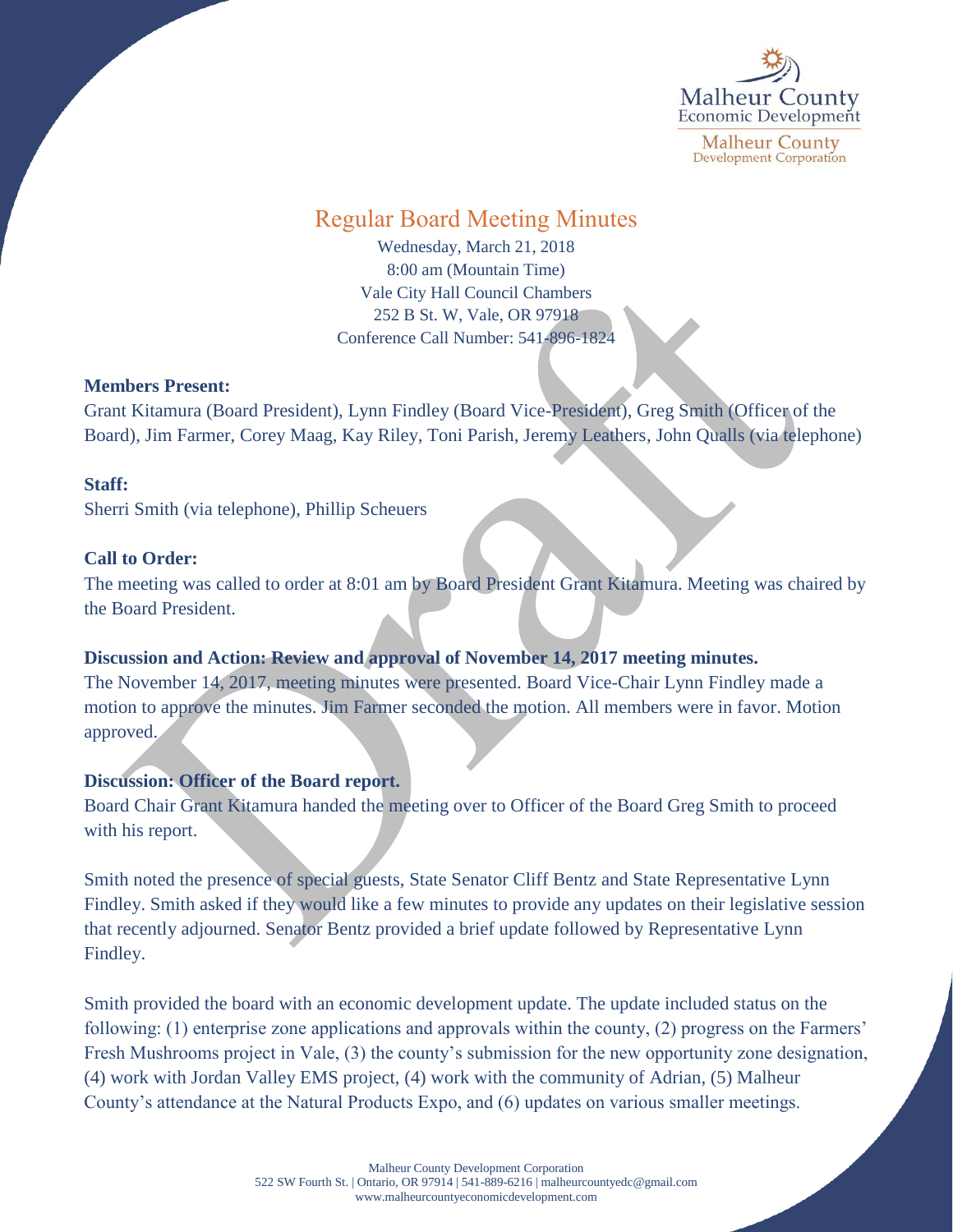

# Regular Board Meeting Minutes

Wednesday, March 21, 2018 8:00 am (Mountain Time) Vale City Hall Council Chambers 252 B St. W, Vale, OR 97918 Conference Call Number: 541-896-1824

## **Members Present:**

Grant Kitamura (Board President), Lynn Findley (Board Vice-President), Greg Smith (Officer of the Board), Jim Farmer, Corey Maag, Kay Riley, Toni Parish, Jeremy Leathers, John Qualls (via telephone)

## **Staff:**

Sherri Smith (via telephone), Phillip Scheuers

## **Call to Order:**

The meeting was called to order at 8:01 am by Board President Grant Kitamura. Meeting was chaired by the Board President.

# **Discussion and Action: Review and approval of November 14, 2017 meeting minutes.**

The November 14, 2017, meeting minutes were presented. Board Vice-Chair Lynn Findley made a motion to approve the minutes. Jim Farmer seconded the motion. All members were in favor. Motion approved.

# **Discussion: Officer of the Board report.**

Board Chair Grant Kitamura handed the meeting over to Officer of the Board Greg Smith to proceed with his report.

Smith noted the presence of special guests, State Senator Cliff Bentz and State Representative Lynn Findley. Smith asked if they would like a few minutes to provide any updates on their legislative session that recently adjourned. Senator Bentz provided a brief update followed by Representative Lynn Findley.

Smith provided the board with an economic development update. The update included status on the following: (1) enterprise zone applications and approvals within the county, (2) progress on the Farmers' Fresh Mushrooms project in Vale, (3) the county's submission for the new opportunity zone designation, (4) work with Jordan Valley EMS project, (4) work with the community of Adrian, (5) Malheur County's attendance at the Natural Products Expo, and (6) updates on various smaller meetings.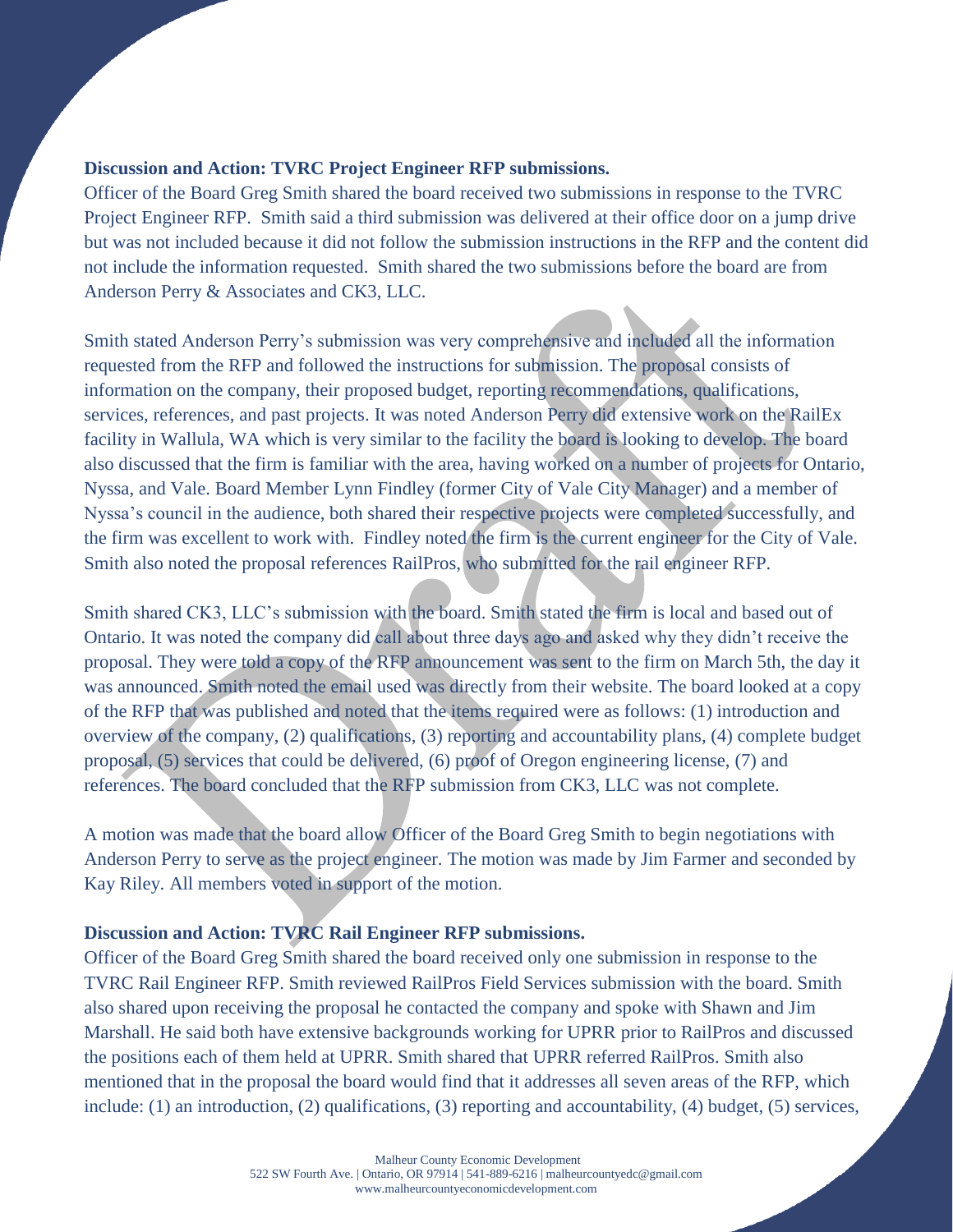# **Discussion and Action: TVRC Project Engineer RFP submissions.**

Officer of the Board Greg Smith shared the board received two submissions in response to the TVRC Project Engineer RFP. Smith said a third submission was delivered at their office door on a jump drive but was not included because it did not follow the submission instructions in the RFP and the content did not include the information requested. Smith shared the two submissions before the board are from Anderson Perry & Associates and CK3, LLC.

Smith stated Anderson Perry's submission was very comprehensive and included all the information requested from the RFP and followed the instructions for submission. The proposal consists of information on the company, their proposed budget, reporting recommendations, qualifications, services, references, and past projects. It was noted Anderson Perry did extensive work on the RailEx facility in Wallula, WA which is very similar to the facility the board is looking to develop. The board also discussed that the firm is familiar with the area, having worked on a number of projects for Ontario, Nyssa, and Vale. Board Member Lynn Findley (former City of Vale City Manager) and a member of Nyssa's council in the audience, both shared their respective projects were completed successfully, and the firm was excellent to work with. Findley noted the firm is the current engineer for the City of Vale. Smith also noted the proposal references RailPros, who submitted for the rail engineer RFP.

Smith shared CK3, LLC's submission with the board. Smith stated the firm is local and based out of Ontario. It was noted the company did call about three days ago and asked why they didn't receive the proposal. They were told a copy of the RFP announcement was sent to the firm on March 5th, the day it was announced. Smith noted the email used was directly from their website. The board looked at a copy of the RFP that was published and noted that the items required were as follows: (1) introduction and overview of the company, (2) qualifications, (3) reporting and accountability plans, (4) complete budget proposal, (5) services that could be delivered, (6) proof of Oregon engineering license, (7) and references. The board concluded that the RFP submission from CK3, LLC was not complete.

A motion was made that the board allow Officer of the Board Greg Smith to begin negotiations with Anderson Perry to serve as the project engineer. The motion was made by Jim Farmer and seconded by Kay Riley. All members voted in support of the motion.

# **Discussion and Action: TVRC Rail Engineer RFP submissions.**

Officer of the Board Greg Smith shared the board received only one submission in response to the TVRC Rail Engineer RFP. Smith reviewed RailPros Field Services submission with the board. Smith also shared upon receiving the proposal he contacted the company and spoke with Shawn and Jim Marshall. He said both have extensive backgrounds working for UPRR prior to RailPros and discussed the positions each of them held at UPRR. Smith shared that UPRR referred RailPros. Smith also mentioned that in the proposal the board would find that it addresses all seven areas of the RFP, which include: (1) an introduction, (2) qualifications, (3) reporting and accountability, (4) budget, (5) services,